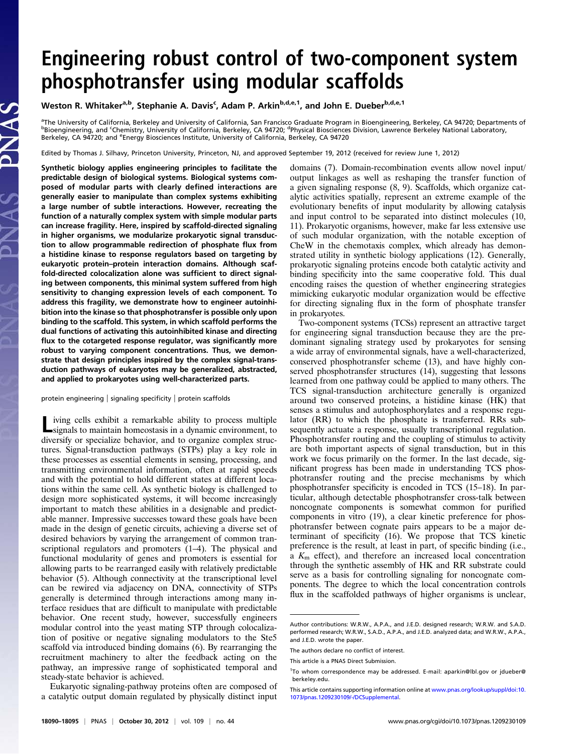# Engineering robust control of two-component system phosphotransfer using modular scaffolds

Weston R. Whitaker<sup>a,b</sup>, Stephanie A. Davis<sup>c</sup>, Adam P. Arkin<sup>b,d,e,1</sup>, and John E. Dueber<sup>b,d,e,1</sup>

<sup>a</sup>The University of California, Berkeley and University of California, San Francisco Graduate Program in Bioengineering, Berkeley, CA 94720; Departments of<br><sup>b</sup>Bioengineering, and ʿChemistry, University of California, Berk Berkeley, CA 94720; and <sup>e</sup>Energy Biosciences Institute, University of California, Berkeley, CA 94720

Edited by Thomas J. Silhavy, Princeton University, Princeton, NJ, and approved September 19, 2012 (received for review June 1, 2012)

Synthetic biology applies engineering principles to facilitate the predictable design of biological systems. Biological systems composed of modular parts with clearly defined interactions are generally easier to manipulate than complex systems exhibiting a large number of subtle interactions. However, recreating the function of a naturally complex system with simple modular parts can increase fragility. Here, inspired by scaffold-directed signaling in higher organisms, we modularize prokaryotic signal transduction to allow programmable redirection of phosphate flux from a histidine kinase to response regulators based on targeting by eukaryotic protein–protein interaction domains. Although scaffold-directed colocalization alone was sufficient to direct signaling between components, this minimal system suffered from high sensitivity to changing expression levels of each component. To address this fragility, we demonstrate how to engineer autoinhibition into the kinase so that phosphotransfer is possible only upon binding to the scaffold. This system, in which scaffold performs the dual functions of activating this autoinhibited kinase and directing flux to the cotargeted response regulator, was significantly more robust to varying component concentrations. Thus, we demonstrate that design principles inspired by the complex signal-transduction pathways of eukaryotes may be generalized, abstracted, and applied to prokaryotes using well-characterized parts.

protein engineering | signaling specificity | protein scaffolds

Living cells exhibit a remarkable ability to process multiple signals to maintain homeostasis in a dynamic environment, to diversify or specialize behavior, and to organize complex structures. Signal-transduction pathways (STPs) play a key role in these processes as essential elements in sensing, processing, and transmitting environmental information, often at rapid speeds and with the potential to hold different states at different locations within the same cell. As synthetic biology is challenged to design more sophisticated systems, it will become increasingly important to match these abilities in a designable and predictable manner. Impressive successes toward these goals have been made in the design of genetic circuits, achieving a diverse set of desired behaviors by varying the arrangement of common transcriptional regulators and promoters (1–4). The physical and functional modularity of genes and promoters is essential for allowing parts to be rearranged easily with relatively predictable behavior (5). Although connectivity at the transcriptional level can be rewired via adjacency on DNA, connectivity of STPs generally is determined through interactions among many interface residues that are difficult to manipulate with predictable behavior. One recent study, however, successfully engineers modular control into the yeast mating STP through colocalization of positive or negative signaling modulators to the Ste5 scaffold via introduced binding domains (6). By rearranging the recruitment machinery to alter the feedback acting on the pathway, an impressive range of sophisticated temporal and steady-state behavior is achieved.

Eukaryotic signaling-pathway proteins often are composed of a catalytic output domain regulated by physically distinct input

domains (7). Domain-recombination events allow novel input/ output linkages as well as reshaping the transfer function of a given signaling response (8, 9). Scaffolds, which organize catalytic activities spatially, represent an extreme example of the evolutionary benefits of input modularity by allowing catalysis and input control to be separated into distinct molecules (10, 11). Prokaryotic organisms, however, make far less extensive use of such modular organization, with the notable exception of CheW in the chemotaxis complex, which already has demonstrated utility in synthetic biology applications (12). Generally, prokaryotic signaling proteins encode both catalytic activity and binding specificity into the same cooperative fold. This dual encoding raises the question of whether engineering strategies mimicking eukaryotic modular organization would be effective for directing signaling flux in the form of phosphate transfer in prokaryotes.

Two-component systems (TCSs) represent an attractive target for engineering signal transduction because they are the predominant signaling strategy used by prokaryotes for sensing a wide array of environmental signals, have a well-characterized, conserved phosphotransfer scheme (13), and have highly conserved phosphotransfer structures (14), suggesting that lessons learned from one pathway could be applied to many others. The TCS signal-transduction architecture generally is organized around two conserved proteins, a histidine kinase (HK) that senses a stimulus and autophosphorylates and a response regulator (RR) to which the phosphate is transferred. RRs subsequently actuate a response, usually transcriptional regulation. Phosphotransfer routing and the coupling of stimulus to activity are both important aspects of signal transduction, but in this work we focus primarily on the former. In the last decade, significant progress has been made in understanding TCS phosphotransfer routing and the precise mechanisms by which phosphotransfer specificity is encoded in TCS (15–18). In particular, although detectable phosphotransfer cross-talk between noncognate components is somewhat common for purified components in vitro (19), a clear kinetic preference for phosphotransfer between cognate pairs appears to be a major determinant of specificity (16). We propose that TCS kinetic preference is the result, at least in part, of specific binding (i.e., a  $K<sub>m</sub>$  effect), and therefore an increased local concentration through the synthetic assembly of HK and RR substrate could serve as a basis for controlling signaling for noncognate components. The degree to which the local concentration controls flux in the scaffolded pathways of higher organisms is unclear,

Author contributions: W.R.W., A.P.A., and J.E.D. designed research; W.R.W. and S.A.D. performed research; W.R.W., S.A.D., A.P.A., and J.E.D. analyzed data; and W.R.W., A.P.A., and J.E.D. wrote the paper.

The authors declare no conflict of interest.

This article is a PNAS Direct Submission.

<sup>1</sup> To whom correspondence may be addressed. E-mail: [aparkin@lbl.gov](mailto:aparkin@lbl.gov) or [jdueber@](mailto:jdueber@berkeley.edu) [berkeley.edu.](mailto:jdueber@berkeley.edu)

This article contains supporting information online at [www.pnas.org/lookup/suppl/doi:10.](http://www.pnas.org/lookup/suppl/doi:10.1073/pnas.1209230109/-/DCSupplemental) [1073/pnas.1209230109/-/DCSupplemental.](http://www.pnas.org/lookup/suppl/doi:10.1073/pnas.1209230109/-/DCSupplemental)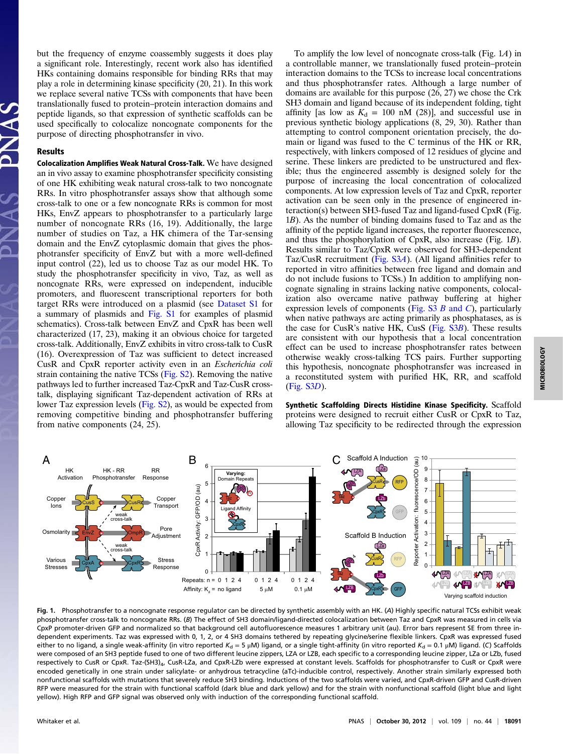but the frequency of enzyme coassembly suggests it does play a significant role. Interestingly, recent work also has identified HKs containing domains responsible for binding RRs that may play a role in determining kinase specificity (20, 21). In this work we replace several native TCSs with components that have been translationally fused to protein–protein interaction domains and peptide ligands, so that expression of synthetic scaffolds can be used specifically to colocalize noncognate components for the purpose of directing phosphotransfer in vivo.

## Results

Colocalization Amplifies Weak Natural Cross-Talk. We have designed an in vivo assay to examine phosphotransfer specificity consisting of one HK exhibiting weak natural cross-talk to two noncognate RRs. In vitro phosphotransfer assays show that although some cross-talk to one or a few noncognate RRs is common for most HKs, EnvZ appears to phosphotransfer to a particularly large number of noncognate RRs (16, 19). Additionally, the large number of studies on Taz, a HK chimera of the Tar-sensing domain and the EnvZ cytoplasmic domain that gives the phosphotransfer specificity of EnvZ but with a more well-defined input control (22), led us to choose Taz as our model HK. To study the phosphotransfer specificity in vivo, Taz, as well as noncognate RRs, were expressed on independent, inducible promoters, and fluorescent transcriptional reporters for both target RRs were introduced on a plasmid (see [Dataset S1](http://www.pnas.org/lookup/suppl/doi:10.1073/pnas.1209230109/-/DCSupplemental/sd01.xlsx) for a summary of plasmids and [Fig. S1](http://www.pnas.org/lookup/suppl/doi:10.1073/pnas.1209230109/-/DCSupplemental/pnas.201209230SI.pdf?targetid=nameddest=SF1) for examples of plasmid schematics). Cross-talk between EnvZ and CpxR has been well characterized (17, 23), making it an obvious choice for targeted cross-talk. Additionally, EnvZ exhibits in vitro cross-talk to CusR (16). Overexpression of Taz was sufficient to detect increased CusR and CpxR reporter activity even in an Escherichia coli strain containing the native TCSs [\(Fig. S2\)](http://www.pnas.org/lookup/suppl/doi:10.1073/pnas.1209230109/-/DCSupplemental/pnas.201209230SI.pdf?targetid=nameddest=SF2). Removing the native pathways led to further increased Taz-CpxR and Taz-CusR crosstalk, displaying significant Taz-dependent activation of RRs at lower Taz expression levels [\(Fig. S2\)](http://www.pnas.org/lookup/suppl/doi:10.1073/pnas.1209230109/-/DCSupplemental/pnas.201209230SI.pdf?targetid=nameddest=SF2), as would be expected from removing competitive binding and phosphotransfer buffering from native components (24, 25).

To amplify the low level of noncognate cross-talk (Fig. 1A) in a controllable manner, we translationally fused protein–protein interaction domains to the TCSs to increase local concentrations and thus phosphotransfer rates. Although a large number of domains are available for this purpose (26, 27) we chose the Crk SH3 domain and ligand because of its independent folding, tight affinity [as low as  $K_d = 100$  nM (28)], and successful use in previous synthetic biology applications (8, 29, 30). Rather than attempting to control component orientation precisely, the domain or ligand was fused to the C terminus of the HK or RR, respectively, with linkers composed of 12 residues of glycine and serine. These linkers are predicted to be unstructured and flexible; thus the engineered assembly is designed solely for the purpose of increasing the local concentration of colocalized components. At low expression levels of Taz and CpxR, reporter activation can be seen only in the presence of engineered interaction(s) between SH3-fused Taz and ligand-fused CpxR (Fig. 1B). As the number of binding domains fused to Taz and as the affinity of the peptide ligand increases, the reporter fluorescence, and thus the phosphorylation of CpxR, also increase (Fig. 1B). Results similar to Taz/CpxR were observed for SH3-dependent Taz/CusR recruitment [\(Fig. S3](http://www.pnas.org/lookup/suppl/doi:10.1073/pnas.1209230109/-/DCSupplemental/pnas.201209230SI.pdf?targetid=nameddest=SF3)A). (All ligand affinities refer to reported in vitro affinities between free ligand and domain and do not include fusions to TCSs.) In addition to amplifying noncognate signaling in strains lacking native components, colocalization also overcame native pathway buffering at higher expression levels of components (Fig.  $S3 \, B$  and C), particularly when native pathways are acting primarily as phosphatases, as is the case for CusR's native HK, CusS ([Fig. S3](http://www.pnas.org/lookup/suppl/doi:10.1073/pnas.1209230109/-/DCSupplemental/pnas.201209230SI.pdf?targetid=nameddest=SF3)B). These results are consistent with our hypothesis that a local concentration effect can be used to increase phosphotransfer rates between otherwise weakly cross-talking TCS pairs. Further supporting this hypothesis, noncognate phosphotransfer was increased in a reconstituted system with purified HK, RR, and scaffold [\(Fig. S3](http://www.pnas.org/lookup/suppl/doi:10.1073/pnas.1209230109/-/DCSupplemental/pnas.201209230SI.pdf?targetid=nameddest=SF3)D).

Synthetic Scaffolding Directs Histidine Kinase Specificity. Scaffold proteins were designed to recruit either CusR or CpxR to Taz, allowing Taz specificity to be redirected through the expression



Fig. 1. Phosphotransfer to a noncognate response regulator can be directed by synthetic assembly with an HK. (A) Highly specific natural TCSs exhibit weak phosphotransfer cross-talk to noncognate RRs. (B) The effect of SH3 domain/ligand-directed colocalization between Taz and CpxR was measured in cells via CpxP promoter-driven GFP and normalized so that background cell autofluorescence measures 1 arbitrary unit (au). Error bars represent SE from three independent experiments. Taz was expressed with 0, 1, 2, or 4 SH3 domains tethered by repeating glycine/serine flexible linkers. CpxR was expressed fused either to no ligand, a single weak-affinity (in vitro reported  $K_d = 5 \mu M$ ) ligand, or a single tight-affinity (in vitro reported  $K_d = 0.1 \mu M$ ) ligand. (C) Scaffolds were composed of an SH3 peptide fused to one of two different leucine zippers, LZA or LZB, each specific to a corresponding leucine zipper, LZa or LZb, fused respectively to CusR or CpxR. Taz-(SH3)<sub>4</sub>, CusR-LZa, and CpxR-LZb were expressed at constant levels. Scaffolds for phosphotransfer to CusR or CpxR were encoded genetically in one strain under salicylate- or anhydrous tetracycline (aTc)-inducible control, respectively. Another strain similarly expressed both nonfunctional scaffolds with mutations that severely reduce SH3 binding. Inductions of the two scaffolds were varied, and CpxR-driven GFP and CusR-driven RFP were measured for the strain with functional scaffold (dark blue and dark yellow) and for the strain with nonfunctional scaffold (light blue and light yellow). High RFP and GFP signal was observed only with induction of the corresponding functional scaffold.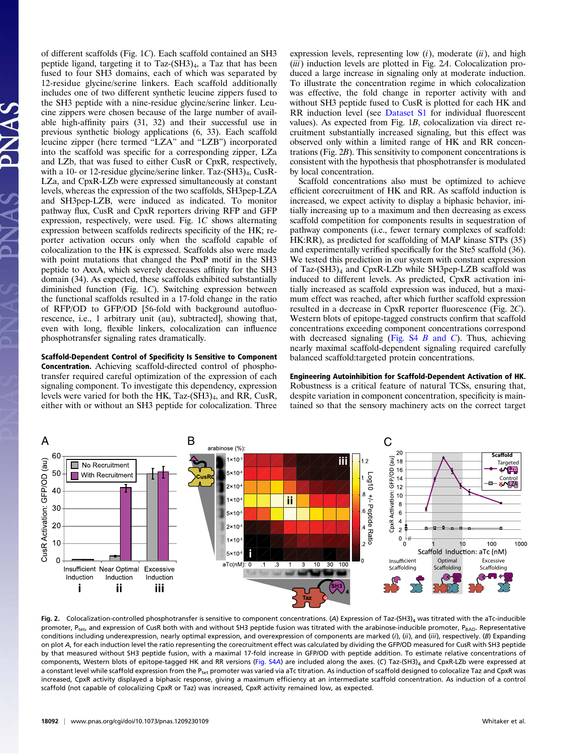of different scaffolds (Fig. 1C). Each scaffold contained an SH3 peptide ligand, targeting it to Taz- $(SH3)_4$ , a Taz that has been fused to four SH3 domains, each of which was separated by 12-residue glycine/serine linkers. Each scaffold additionally includes one of two different synthetic leucine zippers fused to the SH3 peptide with a nine-residue glycine/serine linker. Leucine zippers were chosen because of the large number of available high-affinity pairs (31, 32) and their successful use in previous synthetic biology applications (6, 33). Each scaffold leucine zipper (here termed "LZA" and "LZB") incorporated into the scaffold was specific for a corresponding zipper, LZa and LZb, that was fused to either CusR or CpxR, respectively, with a 10- or 12-residue glycine/serine linker. Taz-(SH3)<sub>4</sub>, CusR-LZa, and CpxR-LZb were expressed simultaneously at constant levels, whereas the expression of the two scaffolds, SH3pep-LZA and SH3pep-LZB, were induced as indicated. To monitor pathway flux, CusR and CpxR reporters driving RFP and GFP expression, respectively, were used. Fig. 1C shows alternating expression between scaffolds redirects specificity of the HK; reporter activation occurs only when the scaffold capable of colocalization to the HK is expressed. Scaffolds also were made with point mutations that changed the PxxP motif in the SH3 peptide to AxxA, which severely decreases affinity for the SH3 domain (34). As expected, these scaffolds exhibited substantially diminished function (Fig. 1C). Switching expression between the functional scaffolds resulted in a 17-fold change in the ratio of RFP/OD to GFP/OD [56-fold with background autofluorescence, i.e., 1 arbitrary unit (au), subtracted], showing that, even with long, flexible linkers, colocalization can influence phosphotransfer signaling rates dramatically.

Scaffold-Dependent Control of Specificity Is Sensitive to Component Concentration. Achieving scaffold-directed control of phosphotransfer required careful optimization of the expression of each signaling component. To investigate this dependency, expression levels were varied for both the HK, Taz-(SH3)<sub>4</sub>, and RR, CusR, either with or without an SH3 peptide for colocalization. Three

expression levels, representing low  $(i)$ , moderate  $(ii)$ , and high (iii) induction levels are plotted in Fig. 2A. Colocalization produced a large increase in signaling only at moderate induction. To illustrate the concentration regime in which colocalization was effective, the fold change in reporter activity with and without SH3 peptide fused to CusR is plotted for each HK and RR induction level (see [Dataset S1](http://www.pnas.org/lookup/suppl/doi:10.1073/pnas.1209230109/-/DCSupplemental/sd01.xlsx) for individual fluorescent values). As expected from Fig. 1B, colocalization via direct recruitment substantially increased signaling, but this effect was observed only within a limited range of HK and RR concentrations (Fig. 2B). This sensitivity to component concentrations is consistent with the hypothesis that phosphotransfer is modulated by local concentration.

Scaffold concentrations also must be optimized to achieve efficient corecruitment of HK and RR. As scaffold induction is increased, we expect activity to display a biphasic behavior, initially increasing up to a maximum and then decreasing as excess scaffold competition for components results in sequestration of pathway components (i.e., fewer ternary complexes of scaffold: HK:RR), as predicted for scaffolding of MAP kinase STPs (35) and experimentally verified specifically for the Ste5 scaffold (36). We tested this prediction in our system with constant expression of Taz-(SH3)4 and CpxR-LZb while SH3pep-LZB scaffold was induced to different levels. As predicted, CpxR activation initially increased as scaffold expression was induced, but a maximum effect was reached, after which further scaffold expression resulted in a decrease in CpxR reporter fluorescence (Fig. 2C). Western blots of epitope-tagged constructs confirm that scaffold concentrations exceeding component concentrations correspond with decreased signaling (Fig.  $S4 \, B$  and C). Thus, achieving nearly maximal scaffold-dependent signaling required carefully balanced scaffold:targeted protein concentrations.

Engineering Autoinhibition for Scaffold-Dependent Activation of HK. Robustness is a critical feature of natural TCSs, ensuring that, despite variation in component concentration, specificity is maintained so that the sensory machinery acts on the correct target



Fig. 2. Colocalization-controlled phosphotransfer is sensitive to component concentrations. (A) Expression of Taz-(SH3)<sub>4</sub> was titrated with the aTc-inducible promoter, P<sub>tet</sub>, and expression of CusR both with and without SH3 peptide fusion was titrated with the arabinose-inducible promoter, P<sub>BAD</sub>. Representative conditions including underexpression, nearly optimal expression, and overexpression of components are marked (i), (ii), and (iii), respectively. (B) Expanding on plot A, for each induction level the ratio representing the corecruitment effect was calculated by dividing the GFP/OD measured for CusR with SH3 peptide by that measured without SH3 peptide fusion, with a maximal 17-fold increase in GFP/OD with peptide addition. To estimate relative concentrations of components, Western blots of epitope-tagged HK and RR versions [\(Fig. S4](http://www.pnas.org/lookup/suppl/doi:10.1073/pnas.1209230109/-/DCSupplemental/pnas.201209230SI.pdf?targetid=nameddest=SF4)A) are included along the axes. (C) Taz-(SH3)<sub>4</sub> and CpxR-LZb were expressed at a constant level while scaffold expression from the P<sub>tet</sub> promoter was varied via aTc titration. As induction of scaffold designed to colocalize Taz and CpxR was increased, CpxR activity displayed a biphasic response, giving a maximum efficiency at an intermediate scaffold concentration. As induction of a control scaffold (not capable of colocalizing CpxR or Taz) was increased, CpxR activity remained low, as expected.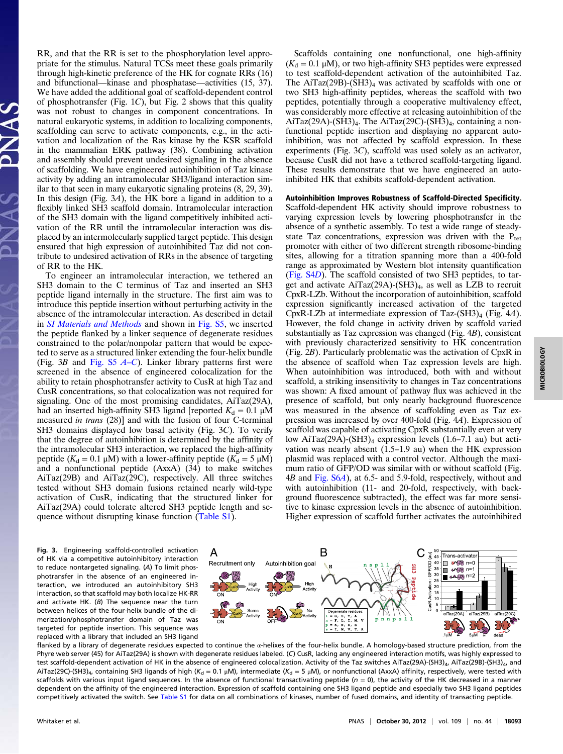RR, and that the RR is set to the phosphorylation level appropriate for the stimulus. Natural TCSs meet these goals primarily through high-kinetic preference of the HK for cognate RRs (16) and bifunctional—kinase and phosphatase—activities (15, 37). We have added the additional goal of scaffold-dependent control of phosphotransfer (Fig. 1C), but Fig. 2 shows that this quality was not robust to changes in component concentrations. In natural eukaryotic systems, in addition to localizing components, scaffolding can serve to activate components, e.g., in the activation and localization of the Ras kinase by the KSR scaffold in the mammalian ERK pathway (38). Combining activation and assembly should prevent undesired signaling in the absence of scaffolding. We have engineered autoinhibition of Taz kinase activity by adding an intramolecular SH3/ligand interaction similar to that seen in many eukaryotic signaling proteins (8, 29, 39). In this design (Fig. 3A), the HK bore a ligand in addition to a flexibly linked SH3 scaffold domain. Intramolecular interaction of the SH3 domain with the ligand competitively inhibited activation of the RR until the intramolecular interaction was displaced by an intermolecularly supplied target peptide. This design ensured that high expression of autoinhibited Taz did not contribute to undesired activation of RRs in the absence of targeting of RR to the HK.

To engineer an intramolecular interaction, we tethered an SH3 domain to the C terminus of Taz and inserted an SH3 peptide ligand internally in the structure. The first aim was to introduce this peptide insertion without perturbing activity in the absence of the intramolecular interaction. As described in detail in [SI Materials and Methods](http://www.pnas.org/lookup/suppl/doi:10.1073/pnas.1209230109/-/DCSupplemental/pnas.201209230SI.pdf?targetid=nameddest=STXT) and shown in [Fig. S5](http://www.pnas.org/lookup/suppl/doi:10.1073/pnas.1209230109/-/DCSupplemental/pnas.201209230SI.pdf?targetid=nameddest=SF5), we inserted the peptide flanked by a linker sequence of degenerate residues constrained to the polar/nonpolar pattern that would be expected to serve as a structured linker extending the four-helix bundle (Fig. 3B and [Fig. S5](http://www.pnas.org/lookup/suppl/doi:10.1073/pnas.1209230109/-/DCSupplemental/pnas.201209230SI.pdf?targetid=nameddest=SF5)  $A-C$  $A-C$ ). Linker library patterns first were screened in the absence of engineered colocalization for the ability to retain phosphotransfer activity to CusR at high Taz and CusR concentrations, so that colocalization was not required for signaling. One of the most promising candidates, AiTaz(29A), had an inserted high-affinity SH3 ligand [reported  $K_d = 0.1 \mu M$ measured in trans (28)] and with the fusion of four C-terminal SH3 domains displayed low basal activity (Fig. 3C). To verify that the degree of autoinhibition is determined by the affinity of the intramolecular SH3 interaction, we replaced the high-affinity peptide ( $K_d = 0.1 \mu M$ ) with a lower-affinity peptide ( $K_d = 5 \mu M$ ) and a nonfunctional peptide (AxxA) (34) to make switches AiTaz(29B) and AiTaz(29C), respectively. All three switches tested without SH3 domain fusions retained nearly wild-type activation of CusR, indicating that the structured linker for AiTaz(29A) could tolerate altered SH3 peptide length and sequence without disrupting kinase function [\(Table S1](http://www.pnas.org/lookup/suppl/doi:10.1073/pnas.1209230109/-/DCSupplemental/pnas.201209230SI.pdf?targetid=nameddest=ST1)).

of HK via a competitive autoinhibitory interaction to reduce nontargeted signaling. (A) To limit phosphotransfer in the absence of an engineered interaction, we introduced an autoinhibitory SH3 interaction, so that scaffold may both localize HK-RR and activate HK. (B) The sequence near the turn between helices of the four-helix bundle of the dimerization/phosphotransfer domain of Taz was targeted for peptide insertion. This sequence was replaced with a library that included an SH3 ligand

Scaffolds containing one nonfunctional, one high-affinity  $(K_d = 0.1 \mu M)$ , or two high-affinity SH3 peptides were expressed to test scaffold-dependent activation of the autoinhibited Taz. The AiTaz(29B)-(SH3)<sub>4</sub> was activated by scaffolds with one or two SH3 high-affinity peptides, whereas the scaffold with two peptides, potentially through a cooperative multivalency effect, was considerably more effective at releasing autoinhibition of the AiTaz(29A)-(SH3)<sub>4</sub>. The AiTaz(29C)-(SH3)<sub>4</sub>, containing a nonfunctional peptide insertion and displaying no apparent autoinhibition, was not affected by scaffold expression. In these experiments (Fig. 3C), scaffold was used solely as an activator, because CusR did not have a tethered scaffold-targeting ligand. These results demonstrate that we have engineered an autoinhibited HK that exhibits scaffold-dependent activation.

## Autoinhibition Improves Robustness of Scaffold-Directed Specificity.

Scaffold-dependent HK activity should improve robustness to varying expression levels by lowering phosphotransfer in the absence of a synthetic assembly. To test a wide range of steadystate Taz concentrations, expression was driven with the  $P_{\text{tet}}$ promoter with either of two different strength ribosome-binding sites, allowing for a titration spanning more than a 400-fold range as approximated by Western blot intensity quantification [\(Fig. S4](http://www.pnas.org/lookup/suppl/doi:10.1073/pnas.1209230109/-/DCSupplemental/pnas.201209230SI.pdf?targetid=nameddest=SF4)D). The scaffold consisted of two SH3 peptides, to target and activate  $AiTaz(29A)$ -(SH3)<sub>4</sub>, as well as LZB to recruit CpxR-LZb. Without the incorporation of autoinhibition, scaffold expression significantly increased activation of the targeted CpxR-LZb at intermediate expression of Taz- $(SH3)_4$  (Fig. 4A). However, the fold change in activity driven by scaffold varied substantially as Taz expression was changed (Fig. 4B), consistent with previously characterized sensitivity to HK concentration (Fig. 2B). Particularly problematic was the activation of CpxR in the absence of scaffold when Taz expression levels are high. When autoinhibition was introduced, both with and without scaffold, a striking insensitivity to changes in Taz concentrations was shown: A fixed amount of pathway flux was achieved in the presence of scaffold, but only nearly background fluorescence was measured in the absence of scaffolding even as Taz expression was increased by over 400-fold (Fig. 4A). Expression of scaffold was capable of activating CpxR substantially even at very low AiTaz(29A)-(SH3)<sub>4</sub> expression levels (1.6–7.1 au) but activation was nearly absent (1.5–1.9 au) when the HK expression plasmid was replaced with a control vector. Although the maximum ratio of GFP/OD was similar with or without scaffold (Fig. 4B and [Fig. S6](http://www.pnas.org/lookup/suppl/doi:10.1073/pnas.1209230109/-/DCSupplemental/pnas.201209230SI.pdf?targetid=nameddest=SF6)A), at 6.5- and 5.9-fold, respectively, without and with autoinhibition (11- and 20-fold, respectively, with background fluorescence subtracted), the effect was far more sensitive to kinase expression levels in the absence of autoinhibition. Higher expression of scaffold further activates the autoinhibited



flanked by a library of degenerate residues expected to continue the α-helixes of the four-helix bundle. A homology-based structure prediction, from the Phyre web server (45) for AiTaz(29A) is shown with degenerate residues labeled. (C) CusR, lacking any engineered interaction motifs, was highly expressed to test scaffold-dependent activation of HK in the absence of engineered colocalization. Activity of the Taz switches AiTaz(29A)-(SH3)<sub>4</sub>, AiTaz(29B)-(SH3)<sub>4</sub>, and AiTaz(29C)-(SH3)<sub>4</sub>, containing SH3 ligands of high (K<sub>d</sub> = 0.1 µM), intermediate (K<sub>d</sub> = 5 µM), or nonfunctional (AxxA) affinity, respectively, were tested with scaffolds with various input ligand sequences. In the absence of functional transactivating peptide  $(n = 0)$ , the activity of the HK decreased in a manner dependent on the affinity of the engineered interaction. Expression of scaffold containing one SH3 ligand peptide and especially two SH3 ligand peptides competitively activated the switch. See [Table S1](http://www.pnas.org/lookup/suppl/doi:10.1073/pnas.1209230109/-/DCSupplemental/pnas.201209230SI.pdf?targetid=nameddest=ST1) for data on all combinations of kinases, number of fused domains, and identity of transacting peptide.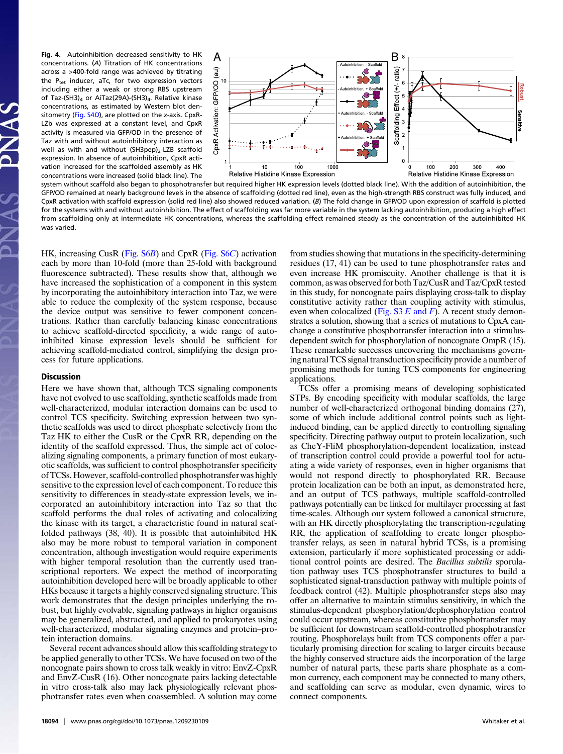concentrations. (A) Titration of HK concentrations across a >400-fold range was achieved by titrating the  $P_{\text{tet}}$  inducer, aTc, for two expression vectors including either a weak or strong RBS upstream of Taz-(SH3)<sub>4</sub> or AiTaz(29A)-(SH3)<sub>4</sub>. Relative kinase concentrations, as estimated by Western blot den-sitometry [\(Fig. S4](http://www.pnas.org/lookup/suppl/doi:10.1073/pnas.1209230109/-/DCSupplemental/pnas.201209230SI.pdf?targetid=nameddest=SF4)D), are plotted on the x-axis. CpxR-LZb was expressed at a constant level, and CpxR activity is measured via GFP/OD in the presence of Taz with and without autoinhibitory interaction as well as with and without (SH3pep)<sub>2</sub>-LZB scaffold expression. In absence of autoinhibition, CpxR activation increased for the scaffolded assembly as HK concentrations were increased (solid black line). The



system without scaffold also began to phosphotransfer but required higher HK expression levels (dotted black line). With the addition of autoinhibition, the GFP/OD remained at nearly background levels in the absence of scaffolding (dotted red line), even as the high-strength RBS construct was fully induced, and CpxR activation with scaffold expression (solid red line) also showed reduced variation. (B) The fold change in GFP/OD upon expression of scaffold is plotted for the systems with and without autoinhibition. The effect of scaffolding was far more variable in the system lacking autoinhibition, producing a high effect from scaffolding only at intermediate HK concentrations, whereas the scaffolding effect remained steady as the concentration of the autoinhibited HK was varied.

HK, increasing CusR ([Fig. S6](http://www.pnas.org/lookup/suppl/doi:10.1073/pnas.1209230109/-/DCSupplemental/pnas.201209230SI.pdf?targetid=nameddest=SF6)B) and CpxR [\(Fig. S6](http://www.pnas.org/lookup/suppl/doi:10.1073/pnas.1209230109/-/DCSupplemental/pnas.201209230SI.pdf?targetid=nameddest=SF6)C) activation each by more than 10-fold (more than 25-fold with background fluorescence subtracted). These results show that, although we have increased the sophistication of a component in this system by incorporating the autoinhibitory interaction into Taz, we were able to reduce the complexity of the system response, because the device output was sensitive to fewer component concentrations. Rather than carefully balancing kinase concentrations to achieve scaffold-directed specificity, a wide range of autoinhibited kinase expression levels should be sufficient for achieving scaffold-mediated control, simplifying the design process for future applications.

#### Discussion

Here we have shown that, although TCS signaling components have not evolved to use scaffolding, synthetic scaffolds made from well-characterized, modular interaction domains can be used to control TCS specificity. Switching expression between two synthetic scaffolds was used to direct phosphate selectively from the Taz HK to either the CusR or the CpxR RR, depending on the identity of the scaffold expressed. Thus, the simple act of colocalizing signaling components, a primary function of most eukaryotic scaffolds, was sufficient to control phosphotransfer specificity of TCSs. However, scaffold-controlled phosphotransfer was highly sensitive to the expression level of each component. To reduce this sensitivity to differences in steady-state expression levels, we incorporated an autoinhibitory interaction into Taz so that the scaffold performs the dual roles of activating and colocalizing the kinase with its target, a characteristic found in natural scaffolded pathways (38, 40). It is possible that autoinhibited HK also may be more robust to temporal variation in component concentration, although investigation would require experiments with higher temporal resolution than the currently used transcriptional reporters. We expect the method of incorporating autoinhibition developed here will be broadly applicable to other HKs because it targets a highly conserved signaling structure. This work demonstrates that the design principles underlying the robust, but highly evolvable, signaling pathways in higher organisms may be generalized, abstracted, and applied to prokaryotes using well-characterized, modular signaling enzymes and protein–protein interaction domains.

Several recent advances should allow this scaffolding strategy to be applied generally to other TCSs. We have focused on two of the noncognate pairs shown to cross talk weakly in vitro: EnvZ-CpxR and EnvZ-CusR (16). Other noncognate pairs lacking detectable in vitro cross-talk also may lack physiologically relevant phosphotransfer rates even when coassembled. A solution may come

from studies showing that mutations in the specificity-determining residues (17, 41) can be used to tune phosphotransfer rates and even increase HK promiscuity. Another challenge is that it is common, as was observed for both Taz/CusR and Taz/CpxR tested in this study, for noncognate pairs displaying cross-talk to display constitutive activity rather than coupling activity with stimulus, even when colocalized [\(Fig. S3](http://www.pnas.org/lookup/suppl/doi:10.1073/pnas.1209230109/-/DCSupplemental/pnas.201209230SI.pdf?targetid=nameddest=SF3)  $E$  and  $F$ ). A recent study demonstrates a solution, showing that a series of mutations to CpxA canchange a constitutive phosphotransfer interaction into a stimulusdependent switch for phosphorylation of noncognate OmpR (15). These remarkable successes uncovering the mechanisms governing natural TCS signal transduction specificity provide a number of promising methods for tuning TCS components for engineering applications.

TCSs offer a promising means of developing sophisticated STPs. By encoding specificity with modular scaffolds, the large number of well-characterized orthogonal binding domains (27), some of which include additional control points such as lightinduced binding, can be applied directly to controlling signaling specificity. Directing pathway output to protein localization, such as CheY-FliM phosphorylation-dependent localization, instead of transcription control could provide a powerful tool for actuating a wide variety of responses, even in higher organisms that would not respond directly to phosphorylated RR. Because protein localization can be both an input, as demonstrated here, and an output of TCS pathways, multiple scaffold-controlled pathways potentially can be linked for multilayer processing at fast time-scales. Although our system followed a canonical structure, with an HK directly phosphorylating the transcription-regulating RR, the application of scaffolding to create longer phosphotransfer relays, as seen in natural hybrid TCSs, is a promising extension, particularly if more sophisticated processing or additional control points are desired. The Bacillus subtilis sporulation pathway uses TCS phosphotransfer structures to build a sophisticated signal-transduction pathway with multiple points of feedback control (42). Multiple phosphotransfer steps also may offer an alternative to maintain stimulus sensitivity, in which the stimulus-dependent phosphorylation/dephosphorylation control could occur upstream, whereas constitutive phosphotransfer may be sufficient for downstream scaffold-controlled phosphotransfer routing. Phosphorelays built from TCS components offer a particularly promising direction for scaling to larger circuits because the highly conserved structure aids the incorporation of the large number of natural parts, these parts share phosphate as a common currency, each component may be connected to many others, and scaffolding can serve as modular, even dynamic, wires to connect components.